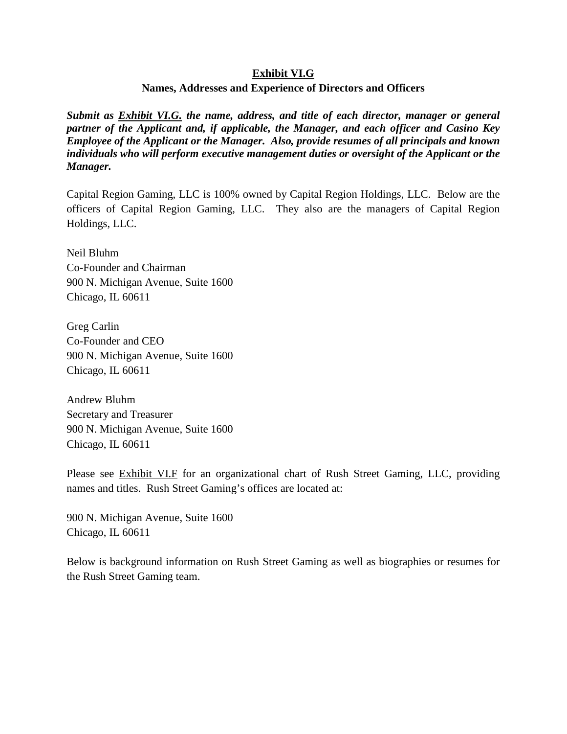#### **Exhibit VI.G**

#### **Names, Addresses and Experience of Directors and Officers**

*Submit as Exhibit VI.G. the name, address, and title of each director, manager or general partner of the Applicant and, if applicable, the Manager, and each officer and Casino Key Employee of the Applicant or the Manager. Also, provide resumes of all principals and known individuals who will perform executive management duties or oversight of the Applicant or the Manager.*

Capital Region Gaming, LLC is 100% owned by Capital Region Holdings, LLC. Below are the officers of Capital Region Gaming, LLC. They also are the managers of Capital Region Holdings, LLC.

Neil Bluhm Co-Founder and Chairman 900 N. Michigan Avenue, Suite 1600 Chicago, IL 60611

Greg Carlin Co-Founder and CEO 900 N. Michigan Avenue, Suite 1600 Chicago, IL 60611

Andrew Bluhm Secretary and Treasurer 900 N. Michigan Avenue, Suite 1600 Chicago, IL 60611

Please see Exhibit VI.F for an organizational chart of Rush Street Gaming, LLC, providing names and titles. Rush Street Gaming's offices are located at:

900 N. Michigan Avenue, Suite 1600 Chicago, IL 60611

Below is background information on Rush Street Gaming as well as biographies or resumes for the Rush Street Gaming team.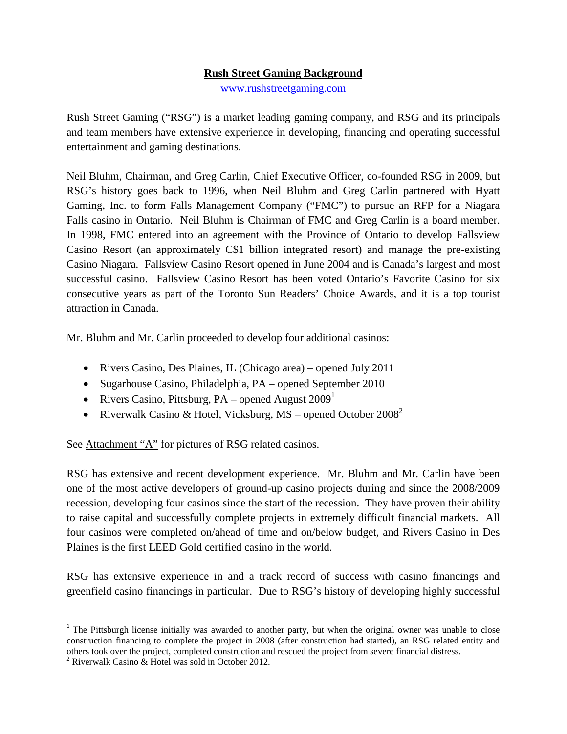## **Rush Street Gaming Background**

www.rushstreetgaming.com

Rush Street Gaming ("RSG") is a market leading gaming company, and RSG and its principals and team members have extensive experience in developing, financing and operating successful entertainment and gaming destinations.

Neil Bluhm, Chairman, and Greg Carlin, Chief Executive Officer, co-founded RSG in 2009, but RSG's history goes back to 1996, when Neil Bluhm and Greg Carlin partnered with Hyatt Gaming, Inc. to form Falls Management Company ("FMC") to pursue an RFP for a Niagara Falls casino in Ontario. Neil Bluhm is Chairman of FMC and Greg Carlin is a board member. In 1998, FMC entered into an agreement with the Province of Ontario to develop Fallsview Casino Resort (an approximately C\$1 billion integrated resort) and manage the pre-existing Casino Niagara. Fallsview Casino Resort opened in June 2004 and is Canada's largest and most successful casino. Fallsview Casino Resort has been voted Ontario's Favorite Casino for six consecutive years as part of the Toronto Sun Readers' Choice Awards, and it is a top tourist attraction in Canada.

Mr. Bluhm and Mr. Carlin proceeded to develop four additional casinos:

- Rivers Casino, Des Plaines, IL (Chicago area) opened July 2011
- Sugarhouse Casino, Philadelphia, PA opened September 2010
- Rivers Casino, Pittsburg, PA opened August  $2009<sup>1</sup>$
- Riverwalk Casino & Hotel, Vicksburg, MS opened October  $2008^2$

See Attachment "A" for pictures of RSG related casinos.

RSG has extensive and recent development experience. Mr. Bluhm and Mr. Carlin have been one of the most active developers of ground-up casino projects during and since the 2008/2009 recession, developing four casinos since the start of the recession. They have proven their ability to raise capital and successfully complete projects in extremely difficult financial markets. All four casinos were completed on/ahead of time and on/below budget, and Rivers Casino in Des Plaines is the first LEED Gold certified casino in the world.

RSG has extensive experience in and a track record of success with casino financings and greenfield casino financings in particular. Due to RSG's history of developing highly successful

<sup>&</sup>lt;sup>1</sup> The Pittsburgh license initially was awarded to another party, but when the original owner was unable to close construction financing to complete the project in 2008 (after construction had started), an RSG related entity and others took over the project, completed construction and rescued the project from severe financial distress.

<sup>2</sup> Riverwalk Casino & Hotel was sold in October 2012.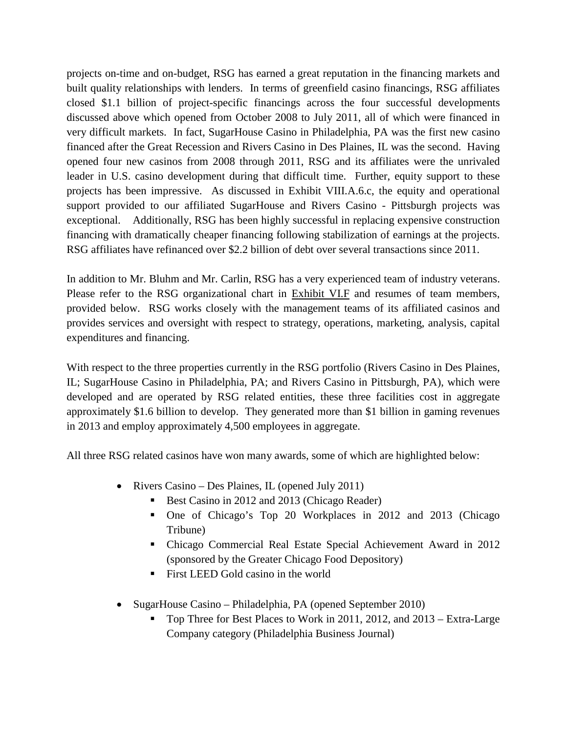projects on-time and on-budget, RSG has earned a great reputation in the financing markets and built quality relationships with lenders. In terms of greenfield casino financings, RSG affiliates closed \$1.1 billion of project-specific financings across the four successful developments discussed above which opened from October 2008 to July 2011, all of which were financed in very difficult markets. In fact, SugarHouse Casino in Philadelphia, PA was the first new casino financed after the Great Recession and Rivers Casino in Des Plaines, IL was the second. Having opened four new casinos from 2008 through 2011, RSG and its affiliates were the unrivaled leader in U.S. casino development during that difficult time. Further, equity support to these projects has been impressive. As discussed in Exhibit VIII.A.6.c, the equity and operational support provided to our affiliated SugarHouse and Rivers Casino - Pittsburgh projects was exceptional. Additionally, RSG has been highly successful in replacing expensive construction financing with dramatically cheaper financing following stabilization of earnings at the projects. RSG affiliates have refinanced over \$2.2 billion of debt over several transactions since 2011.

In addition to Mr. Bluhm and Mr. Carlin, RSG has a very experienced team of industry veterans. Please refer to the RSG organizational chart in Exhibit VI.F and resumes of team members, provided below. RSG works closely with the management teams of its affiliated casinos and provides services and oversight with respect to strategy, operations, marketing, analysis, capital expenditures and financing.

With respect to the three properties currently in the RSG portfolio (Rivers Casino in Des Plaines, IL; SugarHouse Casino in Philadelphia, PA; and Rivers Casino in Pittsburgh, PA), which were developed and are operated by RSG related entities, these three facilities cost in aggregate approximately \$1.6 billion to develop. They generated more than \$1 billion in gaming revenues in 2013 and employ approximately 4,500 employees in aggregate.

All three RSG related casinos have won many awards, some of which are highlighted below:

- Rivers Casino Des Plaines, IL (opened July 2011)
	- Best Casino in 2012 and 2013 (Chicago Reader)
	- One of Chicago's Top 20 Workplaces in 2012 and 2013 (Chicago Tribune)
	- Chicago Commercial Real Estate Special Achievement Award in 2012 (sponsored by the Greater Chicago Food Depository)
	- First LEED Gold casino in the world
- SugarHouse Casino Philadelphia, PA (opened September 2010)
	- Top Three for Best Places to Work in 2011, 2012, and 2013 Extra-Large Company category (Philadelphia Business Journal)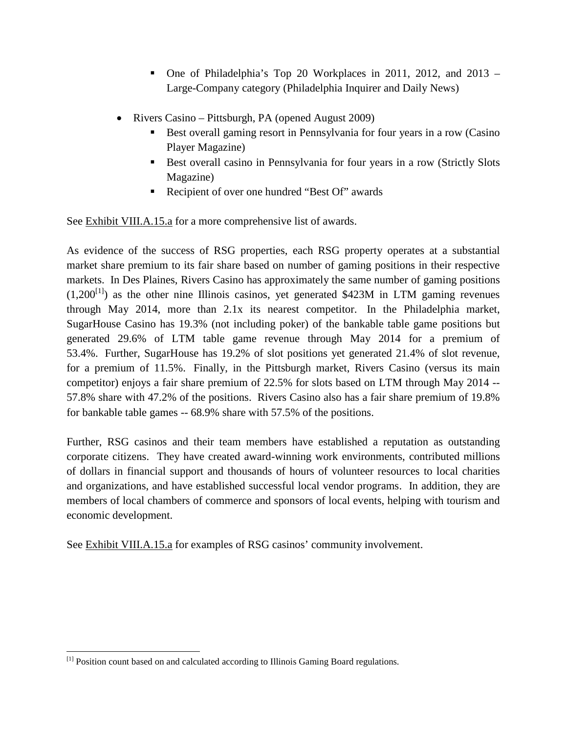- One of Philadelphia's Top 20 Workplaces in 2011, 2012, and 2013 Large-Company category (Philadelphia Inquirer and Daily News)
- Rivers Casino Pittsburgh, PA (opened August 2009)
	- Best overall gaming resort in Pennsylvania for four years in a row (Casino Player Magazine)
	- Best overall casino in Pennsylvania for four years in a row (Strictly Slots Magazine)
	- Recipient of over one hundred "Best Of" awards

See Exhibit VIII.A.15.a for a more comprehensive list of awards.

As evidence of the success of RSG properties, each RSG property operates at a substantial market share premium to its fair share based on number of gaming positions in their respective markets. In Des Plaines, Rivers Casino has approximately the same number of gaming positions  $(1,200^{[1]})$  as the other nine Illinois casinos, yet generated \$423M in LTM gaming revenues through May 2014, more than 2.1x its nearest competitor. In the Philadelphia market, SugarHouse Casino has 19.3% (not including poker) of the bankable table game positions but generated 29.6% of LTM table game revenue through May 2014 for a premium of 53.4%. Further, SugarHouse has 19.2% of slot positions yet generated 21.4% of slot revenue, for a premium of 11.5%. Finally, in the Pittsburgh market, Rivers Casino (versus its main competitor) enjoys a fair share premium of 22.5% for slots based on LTM through May 2014 -- 57.8% share with 47.2% of the positions. Rivers Casino also has a fair share premium of 19.8% for bankable table games -- 68.9% share with 57.5% of the positions.

Further, RSG casinos and their team members have established a reputation as outstanding corporate citizens. They have created award-winning work environments, contributed millions of dollars in financial support and thousands of hours of volunteer resources to local charities and organizations, and have established successful local vendor programs. In addition, they are members of local chambers of commerce and sponsors of local events, helping with tourism and economic development.

See Exhibit VIII.A.15.a for examples of RSG casinos' community involvement.

<sup>[1]</sup> Position count based on and calculated according to Illinois Gaming Board regulations.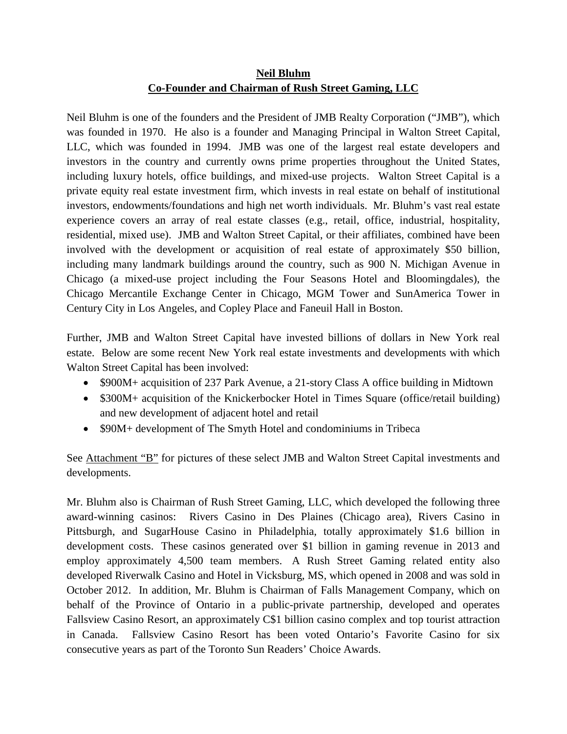# **Neil Bluhm Co-Founder and Chairman of Rush Street Gaming, LLC**

Neil Bluhm is one of the founders and the President of JMB Realty Corporation ("JMB"), which was founded in 1970. He also is a founder and Managing Principal in Walton Street Capital, LLC, which was founded in 1994. JMB was one of the largest real estate developers and investors in the country and currently owns prime properties throughout the United States, including luxury hotels, office buildings, and mixed-use projects. Walton Street Capital is a private equity real estate investment firm, which invests in real estate on behalf of institutional investors, endowments/foundations and high net worth individuals. Mr. Bluhm's vast real estate experience covers an array of real estate classes (e.g., retail, office, industrial, hospitality, residential, mixed use). JMB and Walton Street Capital, or their affiliates, combined have been involved with the development or acquisition of real estate of approximately \$50 billion, including many landmark buildings around the country, such as 900 N. Michigan Avenue in Chicago (a mixed-use project including the Four Seasons Hotel and Bloomingdales), the Chicago Mercantile Exchange Center in Chicago, MGM Tower and SunAmerica Tower in Century City in Los Angeles, and Copley Place and Faneuil Hall in Boston.

Further, JMB and Walton Street Capital have invested billions of dollars in New York real estate. Below are some recent New York real estate investments and developments with which Walton Street Capital has been involved:

- \$900M+ acquisition of 237 Park Avenue, a 21-story Class A office building in Midtown
- \$300M+ acquisition of the Knickerbocker Hotel in Times Square (office/retail building) and new development of adjacent hotel and retail
- \$90M+ development of The Smyth Hotel and condominiums in Tribeca

See Attachment "B" for pictures of these select JMB and Walton Street Capital investments and developments.

Mr. Bluhm also is Chairman of Rush Street Gaming, LLC, which developed the following three award-winning casinos: Rivers Casino in Des Plaines (Chicago area), Rivers Casino in Pittsburgh, and SugarHouse Casino in Philadelphia, totally approximately \$1.6 billion in development costs. These casinos generated over \$1 billion in gaming revenue in 2013 and employ approximately 4,500 team members. A Rush Street Gaming related entity also developed Riverwalk Casino and Hotel in Vicksburg, MS, which opened in 2008 and was sold in October 2012. In addition, Mr. Bluhm is Chairman of Falls Management Company, which on behalf of the Province of Ontario in a public-private partnership, developed and operates Fallsview Casino Resort, an approximately C\$1 billion casino complex and top tourist attraction in Canada. Fallsview Casino Resort has been voted Ontario's Favorite Casino for six consecutive years as part of the Toronto Sun Readers' Choice Awards.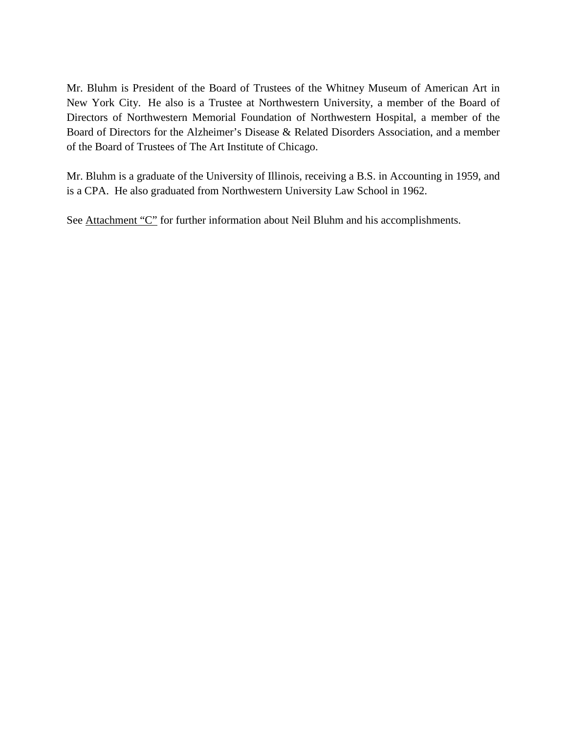Mr. Bluhm is President of the Board of Trustees of the Whitney Museum of American Art in New York City. He also is a Trustee at Northwestern University, a member of the Board of Directors of Northwestern Memorial Foundation of Northwestern Hospital, a member of the Board of Directors for the Alzheimer's Disease & Related Disorders Association, and a member of the Board of Trustees of The Art Institute of Chicago.

Mr. Bluhm is a graduate of the University of Illinois, receiving a B.S. in Accounting in 1959, and is a CPA. He also graduated from Northwestern University Law School in 1962.

See Attachment "C" for further information about Neil Bluhm and his accomplishments.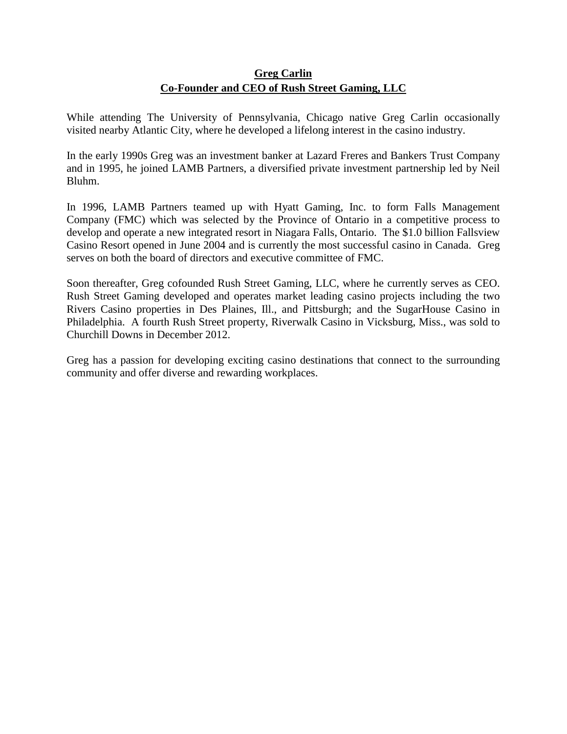# **Greg Carlin Co-Founder and CEO of Rush Street Gaming, LLC**

While attending The University of Pennsylvania, Chicago native Greg Carlin occasionally visited nearby Atlantic City, where he developed a lifelong interest in the casino industry.

In the early 1990s Greg was an investment banker at Lazard Freres and Bankers Trust Company and in 1995, he joined LAMB Partners, a diversified private investment partnership led by Neil Bluhm.

In 1996, LAMB Partners teamed up with Hyatt Gaming, Inc. to form Falls Management Company (FMC) which was selected by the Province of Ontario in a competitive process to develop and operate a new integrated resort in Niagara Falls, Ontario. The \$1.0 billion Fallsview Casino Resort opened in June 2004 and is currently the most successful casino in Canada. Greg serves on both the board of directors and executive committee of FMC.

Soon thereafter, Greg cofounded Rush Street Gaming, LLC, where he currently serves as CEO. Rush Street Gaming developed and operates market leading casino projects including the two Rivers Casino properties in Des Plaines, Ill., and Pittsburgh; and the SugarHouse Casino in Philadelphia. A fourth Rush Street property, Riverwalk Casino in Vicksburg, Miss., was sold to Churchill Downs in December 2012.

Greg has a passion for developing exciting casino destinations that connect to the surrounding community and offer diverse and rewarding workplaces.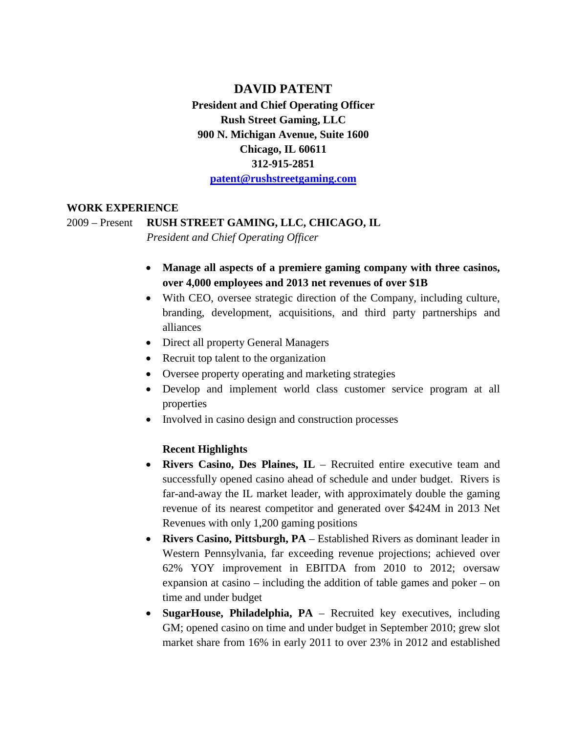# **DAVID PATENT**

**President and Chief Operating Officer Rush Street Gaming, LLC 900 N. Michigan Avenue, Suite 1600 Chicago, IL 60611 312-915-2851**

**patent@rushstreetgaming.com**

#### **WORK EXPERIENCE**

2009 – Present **RUSH STREET GAMING, LLC, CHICAGO, IL**

*President and Chief Operating Officer*

- **Manage all aspects of a premiere gaming company with three casinos, over 4,000 employees and 2013 net revenues of over \$1B**
- With CEO, oversee strategic direction of the Company, including culture, branding, development, acquisitions, and third party partnerships and alliances
- Direct all property General Managers
- Recruit top talent to the organization
- Oversee property operating and marketing strategies
- Develop and implement world class customer service program at all properties
- Involved in casino design and construction processes

### **Recent Highlights**

- **Rivers Casino, Des Plaines, IL** Recruited entire executive team and successfully opened casino ahead of schedule and under budget. Rivers is far-and-away the IL market leader, with approximately double the gaming revenue of its nearest competitor and generated over \$424M in 2013 Net Revenues with only 1,200 gaming positions
- **Rivers Casino, Pittsburgh, PA** Established Rivers as dominant leader in Western Pennsylvania, far exceeding revenue projections; achieved over 62% YOY improvement in EBITDA from 2010 to 2012; oversaw expansion at casino – including the addition of table games and poker – on time and under budget
- **SugarHouse, Philadelphia, PA** Recruited key executives, including GM; opened casino on time and under budget in September 2010; grew slot market share from 16% in early 2011 to over 23% in 2012 and established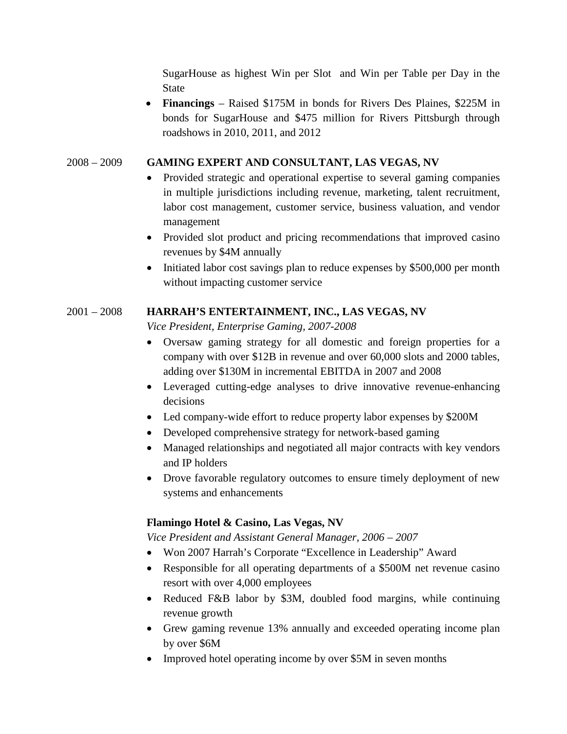SugarHouse as highest Win per Slot and Win per Table per Day in the State

 **Financings** – Raised \$175M in bonds for Rivers Des Plaines, \$225M in bonds for SugarHouse and \$475 million for Rivers Pittsburgh through roadshows in 2010, 2011, and 2012

# 2008 – 2009 **GAMING EXPERT AND CONSULTANT, LAS VEGAS, NV**

- Provided strategic and operational expertise to several gaming companies in multiple jurisdictions including revenue, marketing, talent recruitment, labor cost management, customer service, business valuation, and vendor management
- Provided slot product and pricing recommendations that improved casino revenues by \$4M annually
- Initiated labor cost savings plan to reduce expenses by \$500,000 per month without impacting customer service

# 2001 – 2008 **HARRAH'S ENTERTAINMENT, INC., LAS VEGAS, NV**

*Vice President, Enterprise Gaming, 2007-2008*

- Oversaw gaming strategy for all domestic and foreign properties for a company with over \$12B in revenue and over 60,000 slots and 2000 tables, adding over \$130M in incremental EBITDA in 2007 and 2008
- Leveraged cutting-edge analyses to drive innovative revenue-enhancing decisions
- Led company-wide effort to reduce property labor expenses by \$200M
- Developed comprehensive strategy for network-based gaming
- Managed relationships and negotiated all major contracts with key vendors and IP holders
- Drove favorable regulatory outcomes to ensure timely deployment of new systems and enhancements

# **Flamingo Hotel & Casino, Las Vegas, NV**

*Vice President and Assistant General Manager, 2006 – 2007*

- Won 2007 Harrah's Corporate "Excellence in Leadership" Award
- Responsible for all operating departments of a \$500M net revenue casino resort with over 4,000 employees
- Reduced F&B labor by \$3M, doubled food margins, while continuing revenue growth
- Grew gaming revenue 13% annually and exceeded operating income plan by over \$6M
- Improved hotel operating income by over \$5M in seven months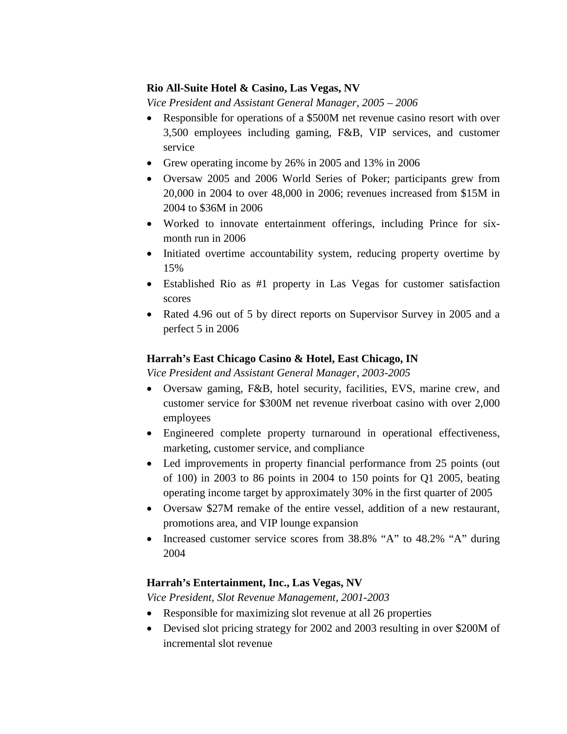## **Rio All-Suite Hotel & Casino, Las Vegas, NV**

*Vice President and Assistant General Manager*, *2005 – 2006*

- Responsible for operations of a \$500M net revenue casino resort with over 3,500 employees including gaming, F&B, VIP services, and customer service
- Grew operating income by 26% in 2005 and 13% in 2006
- Oversaw 2005 and 2006 World Series of Poker; participants grew from 20,000 in 2004 to over 48,000 in 2006; revenues increased from \$15M in 2004 to \$36M in 2006
- Worked to innovate entertainment offerings, including Prince for sixmonth run in 2006
- Initiated overtime accountability system, reducing property overtime by 15%
- Established Rio as #1 property in Las Vegas for customer satisfaction scores
- Rated 4.96 out of 5 by direct reports on Supervisor Survey in 2005 and a perfect 5 in 2006

### **Harrah's East Chicago Casino & Hotel, East Chicago, IN**

*Vice President and Assistant General Manager, 2003-2005*

- Oversaw gaming, F&B, hotel security, facilities, EVS, marine crew, and customer service for \$300M net revenue riverboat casino with over 2,000 employees
- Engineered complete property turnaround in operational effectiveness, marketing, customer service, and compliance
- Led improvements in property financial performance from 25 points (out of 100) in 2003 to 86 points in 2004 to 150 points for Q1 2005, beating operating income target by approximately 30% in the first quarter of 2005
- Oversaw \$27M remake of the entire vessel, addition of a new restaurant, promotions area, and VIP lounge expansion
- Increased customer service scores from 38.8% "A" to 48.2% "A" during 2004

### **Harrah's Entertainment, Inc., Las Vegas, NV**

*Vice President, Slot Revenue Management, 2001-2003*

- Responsible for maximizing slot revenue at all 26 properties
- Devised slot pricing strategy for 2002 and 2003 resulting in over \$200M of incremental slot revenue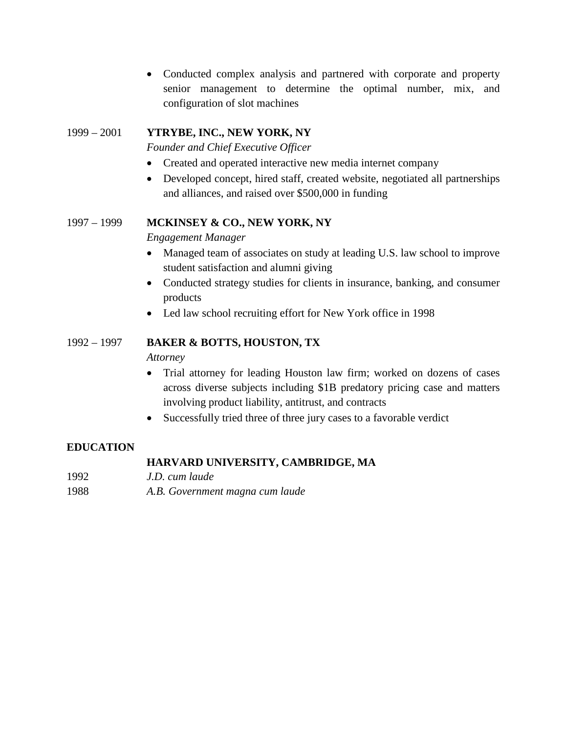Conducted complex analysis and partnered with corporate and property senior management to determine the optimal number, mix, and configuration of slot machines

# 1999 – 2001 **YTRYBE, INC., NEW YORK, NY**

*Founder and Chief Executive Officer*

- Created and operated interactive new media internet company
- Developed concept, hired staff, created website, negotiated all partnerships and alliances, and raised over \$500,000 in funding

# 1997 – 1999 **MCKINSEY & CO., NEW YORK, NY**

*Engagement Manager*

- Managed team of associates on study at leading U.S. law school to improve student satisfaction and alumni giving
- Conducted strategy studies for clients in insurance, banking, and consumer products
- Led law school recruiting effort for New York office in 1998

# 1992 – 1997 **BAKER & BOTTS, HOUSTON, TX**

*Attorney*

- Trial attorney for leading Houston law firm; worked on dozens of cases across diverse subjects including \$1B predatory pricing case and matters involving product liability, antitrust, and contracts
- Successfully tried three of three jury cases to a favorable verdict

# **EDUCATION**

# **HARVARD UNIVERSITY, CAMBRIDGE, MA**

- 1992 *J.D. cum laude*
- 1988 *A.B. Government magna cum laude*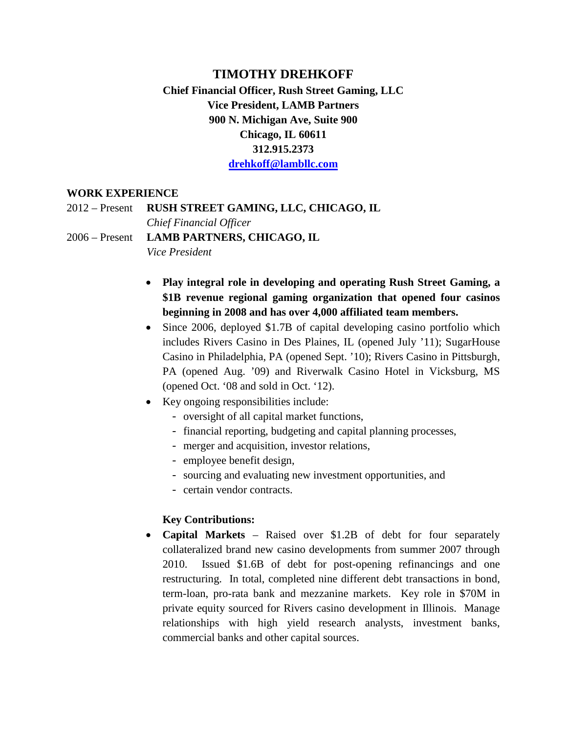### **TIMOTHY DREHKOFF**

**Chief Financial Officer, Rush Street Gaming, LLC Vice President, LAMB Partners 900 N. Michigan Ave, Suite 900 Chicago, IL 60611 312.915.2373 drehkoff@lambllc.com**

#### **WORK EXPERIENCE**

2012 – Present **RUSH STREET GAMING, LLC, CHICAGO, IL** *Chief Financial Officer* 2006 – Present **LAMB PARTNERS, CHICAGO, IL** *Vice President*

- **Play integral role in developing and operating Rush Street Gaming, a \$1B revenue regional gaming organization that opened four casinos beginning in 2008 and has over 4,000 affiliated team members.**
- Since 2006, deployed \$1.7B of capital developing casino portfolio which includes Rivers Casino in Des Plaines, IL (opened July '11); SugarHouse Casino in Philadelphia, PA (opened Sept. '10); Rivers Casino in Pittsburgh, PA (opened Aug. '09) and Riverwalk Casino Hotel in Vicksburg, MS (opened Oct. '08 and sold in Oct. '12).
- Key ongoing responsibilities include:
	- oversight of all capital market functions,
	- financial reporting, budgeting and capital planning processes,
	- merger and acquisition, investor relations,
	- employee benefit design,
	- sourcing and evaluating new investment opportunities, and
	- certain vendor contracts.

### **Key Contributions:**

 **Capital Markets** – Raised over \$1.2B of debt for four separately collateralized brand new casino developments from summer 2007 through 2010. Issued \$1.6B of debt for post-opening refinancings and one restructuring. In total, completed nine different debt transactions in bond, term-loan, pro-rata bank and mezzanine markets. Key role in \$70M in private equity sourced for Rivers casino development in Illinois. Manage relationships with high yield research analysts, investment banks, commercial banks and other capital sources.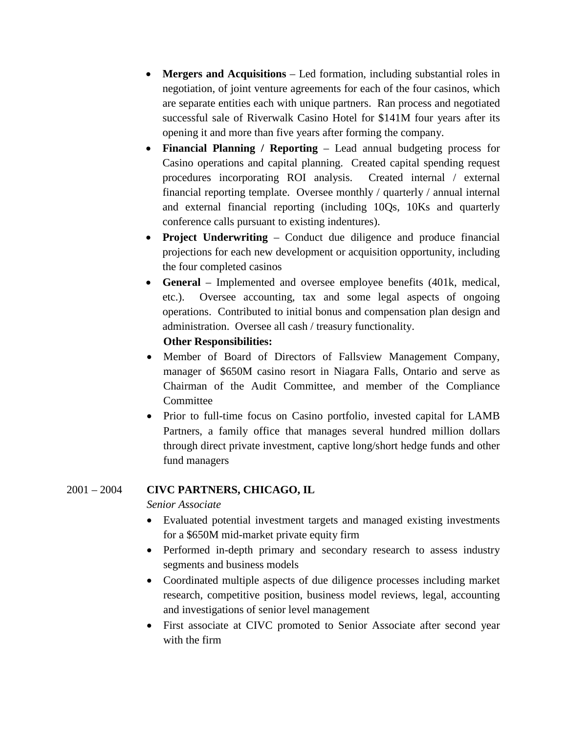- **Mergers and Acquisitions** Led formation, including substantial roles in negotiation, of joint venture agreements for each of the four casinos, which are separate entities each with unique partners. Ran process and negotiated successful sale of Riverwalk Casino Hotel for \$141M four years after its opening it and more than five years after forming the company.
- **Financial Planning / Reporting** Lead annual budgeting process for Casino operations and capital planning. Created capital spending request procedures incorporating ROI analysis. Created internal / external financial reporting template. Oversee monthly / quarterly / annual internal and external financial reporting (including 10Qs, 10Ks and quarterly conference calls pursuant to existing indentures).
- **Project Underwriting** Conduct due diligence and produce financial projections for each new development or acquisition opportunity, including the four completed casinos
- **General** Implemented and oversee employee benefits (401k, medical, etc.). Oversee accounting, tax and some legal aspects of ongoing operations. Contributed to initial bonus and compensation plan design and administration. Oversee all cash / treasury functionality.

### **Other Responsibilities:**

- Member of Board of Directors of Fallsview Management Company, manager of \$650M casino resort in Niagara Falls, Ontario and serve as Chairman of the Audit Committee, and member of the Compliance Committee
- Prior to full-time focus on Casino portfolio, invested capital for LAMB Partners, a family office that manages several hundred million dollars through direct private investment, captive long/short hedge funds and other fund managers

# 2001 – 2004 **CIVC PARTNERS, CHICAGO, IL**

### *Senior Associate*

- Evaluated potential investment targets and managed existing investments for a \$650M mid-market private equity firm
- Performed in-depth primary and secondary research to assess industry segments and business models
- Coordinated multiple aspects of due diligence processes including market research, competitive position, business model reviews, legal, accounting and investigations of senior level management
- First associate at CIVC promoted to Senior Associate after second year with the firm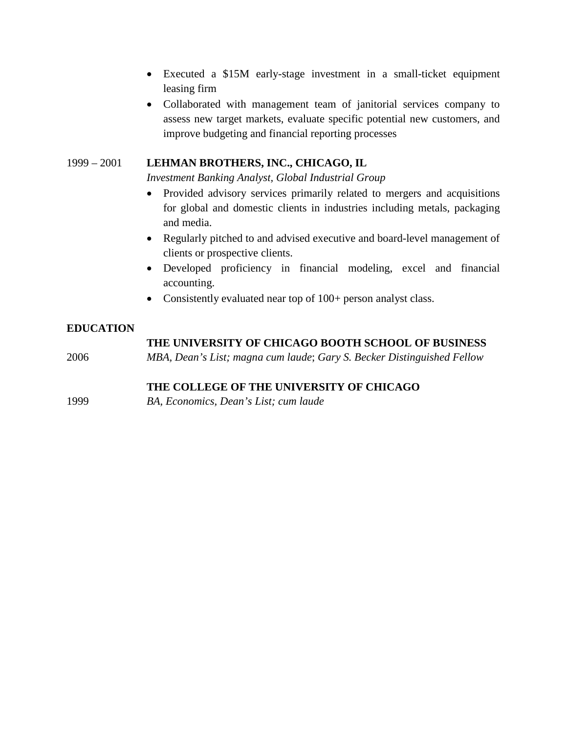- Executed a \$15M early-stage investment in a small-ticket equipment leasing firm
- Collaborated with management team of janitorial services company to assess new target markets, evaluate specific potential new customers, and improve budgeting and financial reporting processes

# 1999 – 2001 **LEHMAN BROTHERS, INC., CHICAGO, IL**

*Investment Banking Analyst, Global Industrial Group*

- Provided advisory services primarily related to mergers and acquisitions for global and domestic clients in industries including metals, packaging and media.
- Regularly pitched to and advised executive and board-level management of clients or prospective clients.
- Developed proficiency in financial modeling, excel and financial accounting.
- Consistently evaluated near top of 100+ person analyst class.

# **EDUCATION**

# **THE UNIVERSITY OF CHICAGO BOOTH SCHOOL OF BUSINESS**

2006 *MBA, Dean's List; magna cum laude*; *Gary S. Becker Distinguished Fellow*

# **THE COLLEGE OF THE UNIVERSITY OF CHICAGO**

1999 *BA, Economics, Dean's List; cum laude*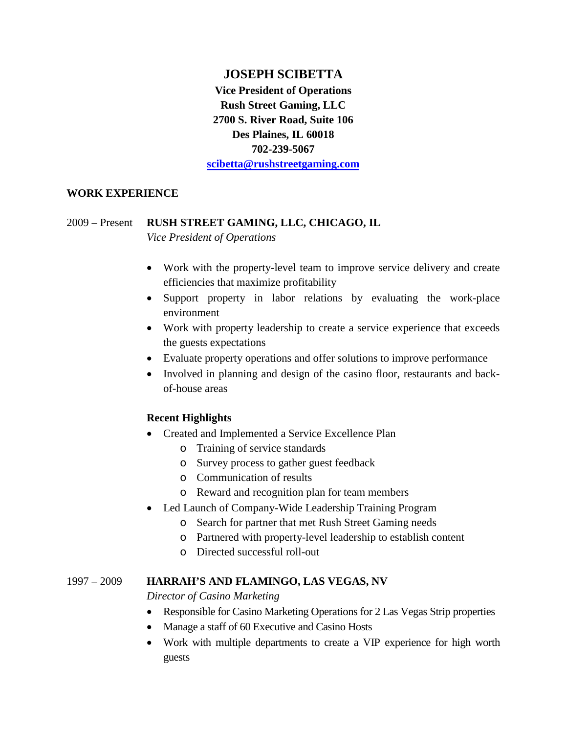# **JOSEPH SCIBETTA**

**Vice President of Operations Rush Street Gaming, LLC 2700 S. River Road, Suite 106 Des Plaines, IL 60018 702-239-5067**

**scibetta@rushstreetgaming.com**

### **WORK EXPERIENCE**

# 2009 – Present **RUSH STREET GAMING, LLC, CHICAGO, IL**

*Vice President of Operations*

- Work with the property-level team to improve service delivery and create efficiencies that maximize profitability
- Support property in labor relations by evaluating the work-place environment
- Work with property leadership to create a service experience that exceeds the guests expectations
- Evaluate property operations and offer solutions to improve performance
- Involved in planning and design of the casino floor, restaurants and backof-house areas

# **Recent Highlights**

- Created and Implemented a Service Excellence Plan
	- o Training of service standards
	- o Survey process to gather guest feedback
	- o Communication of results
	- o Reward and recognition plan for team members
- Led Launch of Company-Wide Leadership Training Program
	- o Search for partner that met Rush Street Gaming needs
	- o Partnered with property-level leadership to establish content
	- o Directed successful roll-out

### 1997 – 2009 **HARRAH'S AND FLAMINGO, LAS VEGAS, NV**

*Director of Casino Marketing*

- Responsible for Casino Marketing Operations for 2 Las Vegas Strip properties
- Manage a staff of 60 Executive and Casino Hosts
- Work with multiple departments to create a VIP experience for high worth guests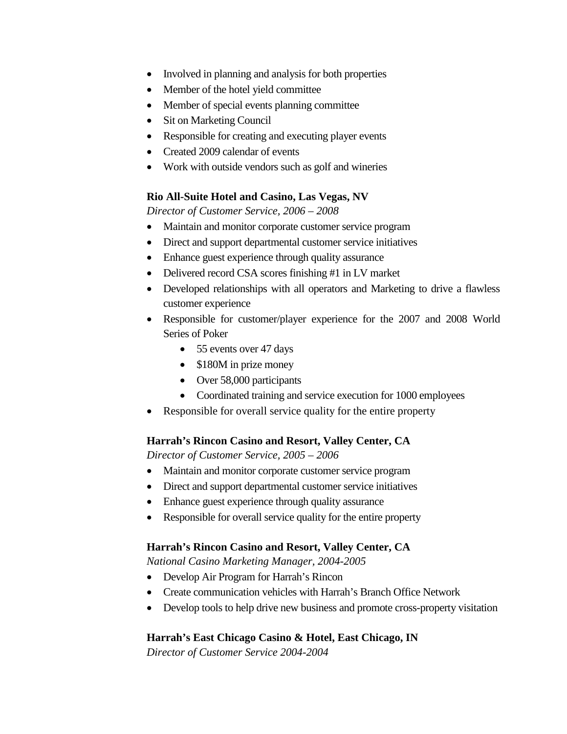- Involved in planning and analysis for both properties
- Member of the hotel yield committee
- Member of special events planning committee
- Sit on Marketing Council
- Responsible for creating and executing player events
- Created 2009 calendar of events
- Work with outside vendors such as golf and wineries

### **Rio All-Suite Hotel and Casino, Las Vegas, NV**

*Director of Customer Service, 2006 – 2008*

- Maintain and monitor corporate customer service program
- Direct and support departmental customer service initiatives
- Enhance guest experience through quality assurance
- Delivered record CSA scores finishing #1 in LV market
- Developed relationships with all operators and Marketing to drive a flawless customer experience
- Responsible for customer/player experience for the 2007 and 2008 World Series of Poker
	- 55 events over 47 days
	- \$180M in prize money
	- Over 58,000 participants
	- Coordinated training and service execution for 1000 employees
- Responsible for overall service quality for the entire property

# **Harrah's Rincon Casino and Resort, Valley Center, CA**

*Director of Customer Service, 2005 – 2006*

- Maintain and monitor corporate customer service program
- Direct and support departmental customer service initiatives
- Enhance guest experience through quality assurance
- Responsible for overall service quality for the entire property

# **Harrah's Rincon Casino and Resort, Valley Center, CA**

*National Casino Marketing Manager, 2004-2005*

- Develop Air Program for Harrah's Rincon
- Create communication vehicles with Harrah's Branch Office Network
- Develop tools to help drive new business and promote cross-property visitation

# **Harrah's East Chicago Casino & Hotel, East Chicago, IN**

*Director of Customer Service 2004-2004*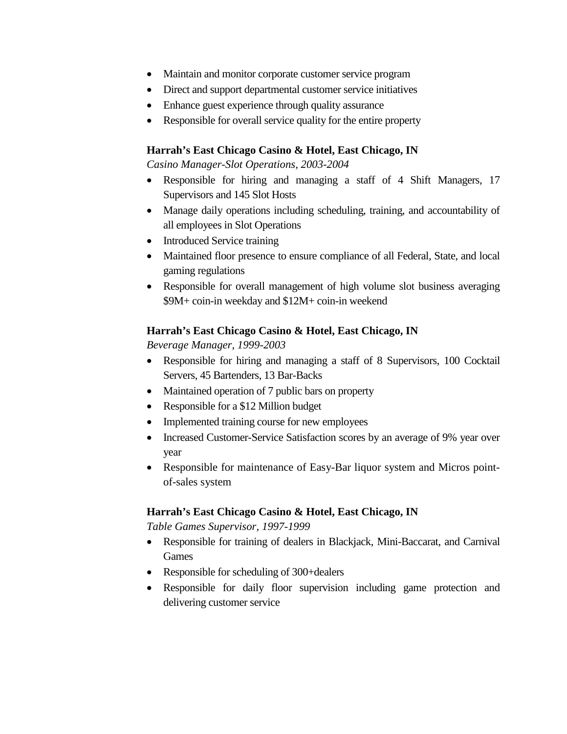- Maintain and monitor corporate customer service program
- Direct and support departmental customer service initiatives
- Enhance guest experience through quality assurance
- Responsible for overall service quality for the entire property

### **Harrah's East Chicago Casino & Hotel, East Chicago, IN**

*Casino Manager-Slot Operations, 2003-2004*

- Responsible for hiring and managing a staff of 4 Shift Managers, 17 Supervisors and 145 Slot Hosts
- Manage daily operations including scheduling, training, and accountability of all employees in Slot Operations
- Introduced Service training
- Maintained floor presence to ensure compliance of all Federal, State, and local gaming regulations
- Responsible for overall management of high volume slot business averaging \$9M+ coin-in weekday and \$12M+ coin-in weekend

### **Harrah's East Chicago Casino & Hotel, East Chicago, IN**

*Beverage Manager, 1999-2003*

- Responsible for hiring and managing a staff of 8 Supervisors, 100 Cocktail Servers, 45 Bartenders, 13 Bar-Backs
- Maintained operation of 7 public bars on property
- Responsible for a \$12 Million budget
- Implemented training course for new employees
- Increased Customer-Service Satisfaction scores by an average of 9% year over year
- Responsible for maintenance of Easy-Bar liquor system and Micros pointof-sales system

### **Harrah's East Chicago Casino & Hotel, East Chicago, IN**

*Table Games Supervisor, 1997-1999*

- Responsible for training of dealers in Blackjack, Mini-Baccarat, and Carnival Games
- Responsible for scheduling of 300+dealers
- Responsible for daily floor supervision including game protection and delivering customer service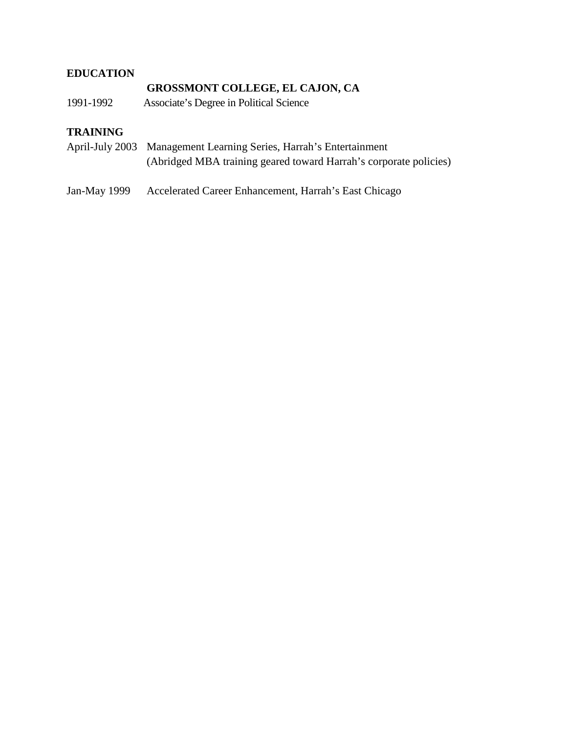# **EDUCATION**

# **GROSSMONT COLLEGE, EL CAJON, CA**

1991-1992 Associate's Degree in Political Science

# **TRAINING**

| April-July 2003 Management Learning Series, Harrah's Entertainment |
|--------------------------------------------------------------------|
| (Abridged MBA training geared toward Harrah's corporate policies)  |

Jan-May 1999 Accelerated Career Enhancement, Harrah's East Chicago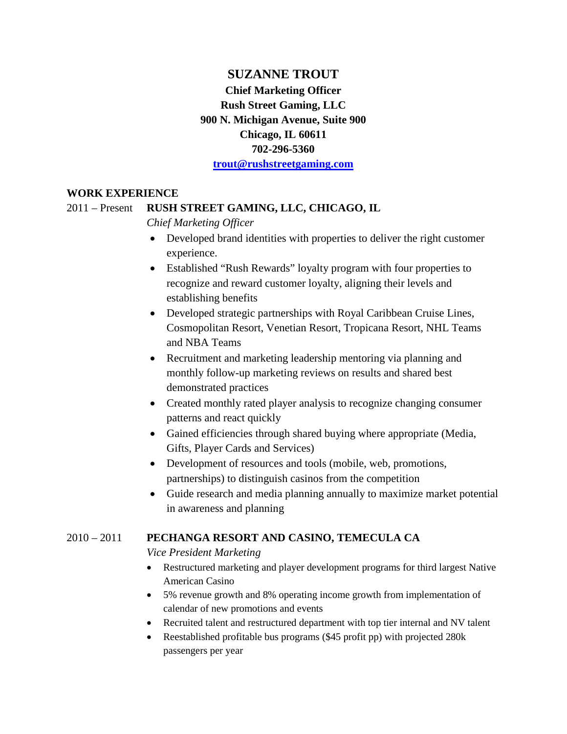# **SUZANNE TROUT Chief Marketing Officer Rush Street Gaming, LLC 900 N. Michigan Avenue, Suite 900 Chicago, IL 60611 702-296-5360**

**trout@rushstreetgaming.com**

# **WORK EXPERIENCE**

### 2011 – Present **RUSH STREET GAMING, LLC, CHICAGO, IL**

*Chief Marketing Officer*

- Developed brand identities with properties to deliver the right customer experience.
- Established "Rush Rewards" loyalty program with four properties to recognize and reward customer loyalty, aligning their levels and establishing benefits
- Developed strategic partnerships with Royal Caribbean Cruise Lines, Cosmopolitan Resort, Venetian Resort, Tropicana Resort, NHL Teams and NBA Teams
- Recruitment and marketing leadership mentoring via planning and monthly follow-up marketing reviews on results and shared best demonstrated practices
- Created monthly rated player analysis to recognize changing consumer patterns and react quickly
- Gained efficiencies through shared buying where appropriate (Media, Gifts, Player Cards and Services)
- Development of resources and tools (mobile, web, promotions, partnerships) to distinguish casinos from the competition
- Guide research and media planning annually to maximize market potential in awareness and planning

# 2010 – 2011 **PECHANGA RESORT AND CASINO, TEMECULA CA**

*Vice President Marketing*

- Restructured marketing and player development programs for third largest Native American Casino
- 5% revenue growth and 8% operating income growth from implementation of calendar of new promotions and events
- Recruited talent and restructured department with top tier internal and NV talent
- Reestablished profitable bus programs (\$45 profit pp) with projected 280k passengers per year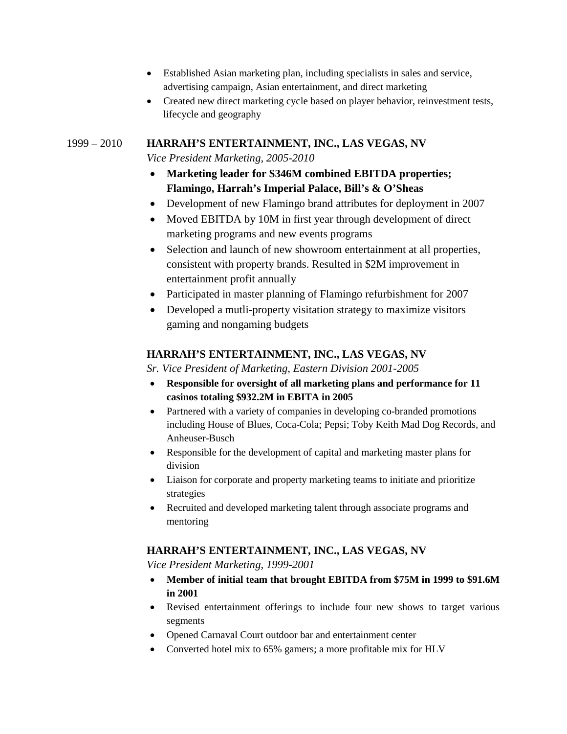- Established Asian marketing plan, including specialists in sales and service, advertising campaign, Asian entertainment, and direct marketing
- Created new direct marketing cycle based on player behavior, reinvestment tests, lifecycle and geography

# 1999 – 2010 **HARRAH'S ENTERTAINMENT, INC., LAS VEGAS, NV**

*Vice President Marketing, 2005-2010*

- **Marketing leader for \$346M combined EBITDA properties; Flamingo, Harrah's Imperial Palace, Bill's & O'Sheas**
- Development of new Flamingo brand attributes for deployment in 2007
- Moved EBITDA by 10M in first year through development of direct marketing programs and new events programs
- Selection and launch of new showroom entertainment at all properties, consistent with property brands. Resulted in \$2M improvement in entertainment profit annually
- Participated in master planning of Flamingo refurbishment for 2007
- Developed a mutli-property visitation strategy to maximize visitors gaming and nongaming budgets

# **HARRAH'S ENTERTAINMENT, INC., LAS VEGAS, NV**

*Sr. Vice President of Marketing, Eastern Division 2001-2005*

- **Responsible for oversight of all marketing plans and performance for 11 casinos totaling \$932.2M in EBITA in 2005**
- Partnered with a variety of companies in developing co-branded promotions including House of Blues, Coca-Cola; Pepsi; Toby Keith Mad Dog Records, and Anheuser-Busch
- Responsible for the development of capital and marketing master plans for division
- Liaison for corporate and property marketing teams to initiate and prioritize strategies
- Recruited and developed marketing talent through associate programs and mentoring

# **HARRAH'S ENTERTAINMENT, INC., LAS VEGAS, NV**

*Vice President Marketing*, *1999-2001*

- **Member of initial team that brought EBITDA from \$75M in 1999 to \$91.6M in 2001**
- Revised entertainment offerings to include four new shows to target various segments
- Opened Carnaval Court outdoor bar and entertainment center
- Converted hotel mix to 65% gamers; a more profitable mix for HLV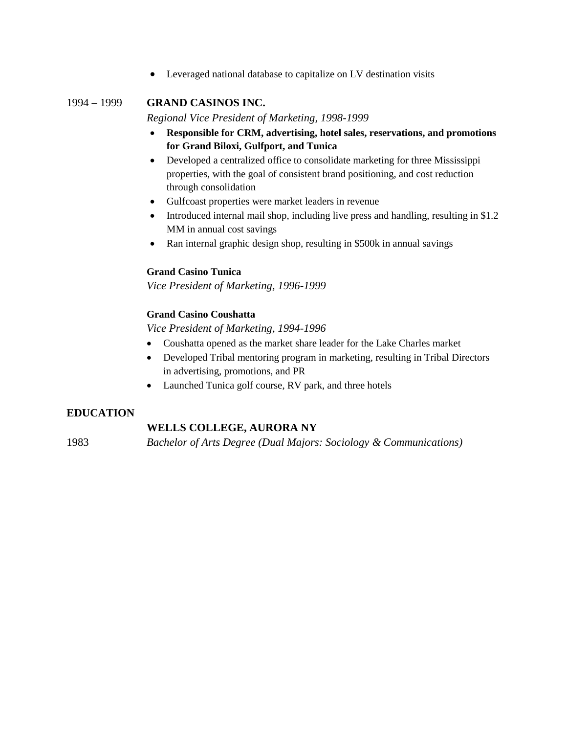Leveraged national database to capitalize on LV destination visits

## 1994 – 1999 **GRAND CASINOS INC.**

*Regional Vice President of Marketing, 1998-1999*

- **Responsible for CRM, advertising, hotel sales, reservations, and promotions for Grand Biloxi, Gulfport, and Tunica**
- Developed a centralized office to consolidate marketing for three Mississippi properties, with the goal of consistent brand positioning, and cost reduction through consolidation
- Gulfcoast properties were market leaders in revenue
- Introduced internal mail shop, including live press and handling, resulting in \$1.2 MM in annual cost savings
- Ran internal graphic design shop, resulting in \$500k in annual savings

#### **Grand Casino Tunica**

*Vice President of Marketing, 1996-1999*

#### **Grand Casino Coushatta**

*Vice President of Marketing, 1994-1996*

- Coushatta opened as the market share leader for the Lake Charles market
- Developed Tribal mentoring program in marketing, resulting in Tribal Directors in advertising, promotions, and PR
- Launched Tunica golf course, RV park, and three hotels

#### **EDUCATION**

### **WELLS COLLEGE, AURORA NY**

1983 *Bachelor of Arts Degree (Dual Majors: Sociology & Communications)*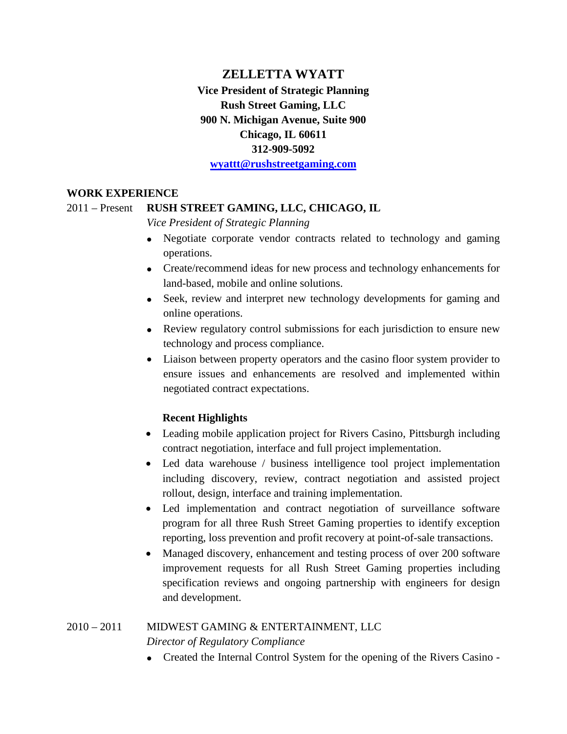# **ZELLETTA WYATT**

**Vice President of Strategic Planning Rush Street Gaming, LLC 900 N. Michigan Avenue, Suite 900 Chicago, IL 60611 312-909-5092**

**wyattt@rushstreetgaming.com**

#### **WORK EXPERIENCE**

#### 2011 – Present **RUSH STREET GAMING, LLC, CHICAGO, IL**

*Vice President of Strategic Planning*

- Negotiate corporate vendor contracts related to technology and gaming operations.
- Create/recommend ideas for new process and technology enhancements for land-based, mobile and online solutions.
- Seek, review and interpret new technology developments for gaming and online operations.
- Review regulatory control submissions for each jurisdiction to ensure new technology and process compliance.
- Liaison between property operators and the casino floor system provider to ensure issues and enhancements are resolved and implemented within negotiated contract expectations.

### **Recent Highlights**

- Leading mobile application project for Rivers Casino, Pittsburgh including contract negotiation, interface and full project implementation.
- Led data warehouse / business intelligence tool project implementation including discovery, review, contract negotiation and assisted project rollout, design, interface and training implementation.
- Led implementation and contract negotiation of surveillance software program for all three Rush Street Gaming properties to identify exception reporting, loss prevention and profit recovery at point-of-sale transactions.
- Managed discovery, enhancement and testing process of over 200 software improvement requests for all Rush Street Gaming properties including specification reviews and ongoing partnership with engineers for design and development.

# 2010 – 2011 MIDWEST GAMING & ENTERTAINMENT, LLC *Director of Regulatory Compliance*

Created the Internal Control System for the opening of the Rivers Casino -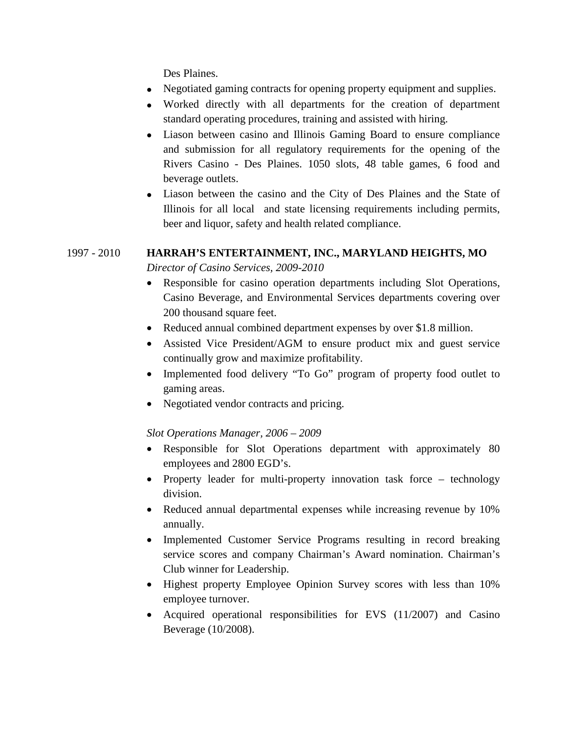Des Plaines.

- Negotiated gaming contracts for opening property equipment and supplies.
- Worked directly with all departments for the creation of department standard operating procedures, training and assisted with hiring.
- Liason between casino and Illinois Gaming Board to ensure compliance and submission for all regulatory requirements for the opening of the Rivers Casino - Des Plaines. 1050 slots, 48 table games, 6 food and beverage outlets.
- Liason between the casino and the City of Des Plaines and the State of Illinois for all local and state licensing requirements including permits, beer and liquor, safety and health related compliance.

# 1997 - 2010 **HARRAH'S ENTERTAINMENT, INC., MARYLAND HEIGHTS, MO**

*Director of Casino Services, 2009-2010*

- Responsible for casino operation departments including Slot Operations, Casino Beverage, and Environmental Services departments covering over 200 thousand square feet.
- Reduced annual combined department expenses by over \$1.8 million.
- Assisted Vice President/AGM to ensure product mix and guest service continually grow and maximize profitability.
- Implemented food delivery "To Go" program of property food outlet to gaming areas.
- Negotiated vendor contracts and pricing.

*Slot Operations Manager, 2006 – 2009*

- Responsible for Slot Operations department with approximately 80 employees and 2800 EGD's.
- Property leader for multi-property innovation task force technology division.
- Reduced annual departmental expenses while increasing revenue by 10% annually.
- Implemented Customer Service Programs resulting in record breaking service scores and company Chairman's Award nomination. Chairman's Club winner for Leadership.
- Highest property Employee Opinion Survey scores with less than 10% employee turnover.
- Acquired operational responsibilities for EVS (11/2007) and Casino Beverage (10/2008).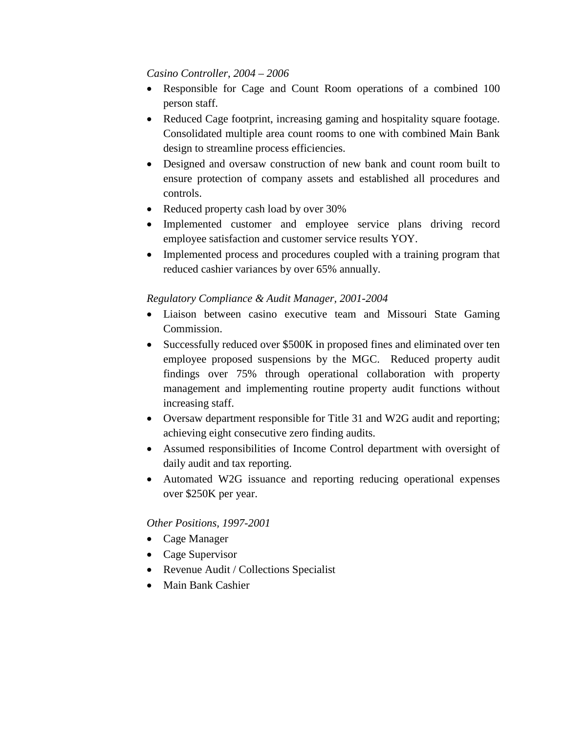## *Casino Controller*, *2004 – 2006*

- Responsible for Cage and Count Room operations of a combined 100 person staff.
- Reduced Cage footprint, increasing gaming and hospitality square footage. Consolidated multiple area count rooms to one with combined Main Bank design to streamline process efficiencies.
- Designed and oversaw construction of new bank and count room built to ensure protection of company assets and established all procedures and controls.
- Reduced property cash load by over 30%
- Implemented customer and employee service plans driving record employee satisfaction and customer service results YOY.
- Implemented process and procedures coupled with a training program that reduced cashier variances by over 65% annually.

# *Regulatory Compliance & Audit Manager, 2001-2004*

- Liaison between casino executive team and Missouri State Gaming Commission.
- Successfully reduced over \$500K in proposed fines and eliminated over ten employee proposed suspensions by the MGC. Reduced property audit findings over 75% through operational collaboration with property management and implementing routine property audit functions without increasing staff.
- Oversaw department responsible for Title 31 and W2G audit and reporting; achieving eight consecutive zero finding audits.
- Assumed responsibilities of Income Control department with oversight of daily audit and tax reporting.
- Automated W2G issuance and reporting reducing operational expenses over \$250K per year.

# *Other Positions, 1997-2001*

- Cage Manager
- Cage Supervisor
- Revenue Audit / Collections Specialist
- Main Bank Cashier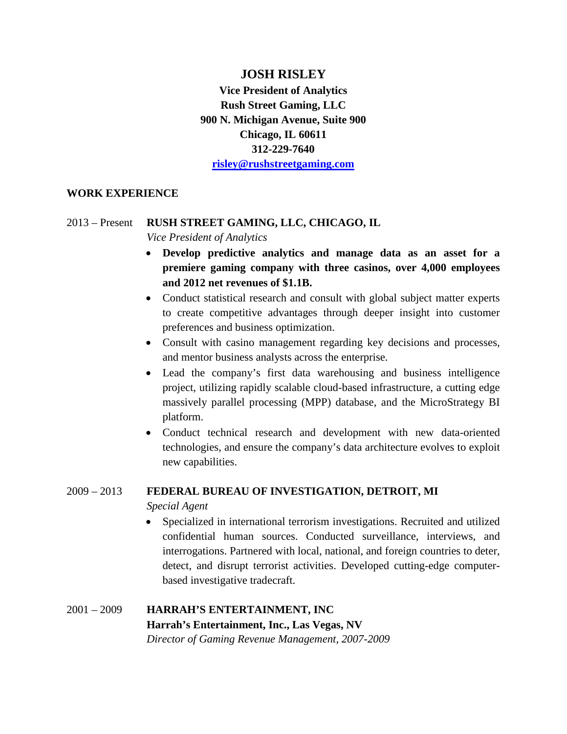## **JOSH RISLEY**

**Vice President of Analytics Rush Street Gaming, LLC 900 N. Michigan Avenue, Suite 900 Chicago, IL 60611 312-229-7640 risley@rushstreetgaming.com**

**WORK EXPERIENCE**

# 2013 – Present **RUSH STREET GAMING, LLC, CHICAGO, IL**

*Vice President of Analytics*

- **Develop predictive analytics and manage data as an asset for a premiere gaming company with three casinos, over 4,000 employees and 2012 net revenues of \$1.1B.**
- Conduct statistical research and consult with global subject matter experts to create competitive advantages through deeper insight into customer preferences and business optimization.
- Consult with casino management regarding key decisions and processes, and mentor business analysts across the enterprise.
- Lead the company's first data warehousing and business intelligence project, utilizing rapidly scalable cloud-based infrastructure, a cutting edge massively parallel processing (MPP) database, and the MicroStrategy BI platform.
- Conduct technical research and development with new data-oriented technologies, and ensure the company's data architecture evolves to exploit new capabilities.

### 2009 – 2013 **FEDERAL BUREAU OF INVESTIGATION, DETROIT, MI**

*Special Agent*

 Specialized in international terrorism investigations. Recruited and utilized confidential human sources. Conducted surveillance, interviews, and interrogations. Partnered with local, national, and foreign countries to deter, detect, and disrupt terrorist activities. Developed cutting-edge computerbased investigative tradecraft.

2001 – 2009 **HARRAH'S ENTERTAINMENT, INC Harrah's Entertainment, Inc., Las Vegas, NV** *Director of Gaming Revenue Management, 2007-2009*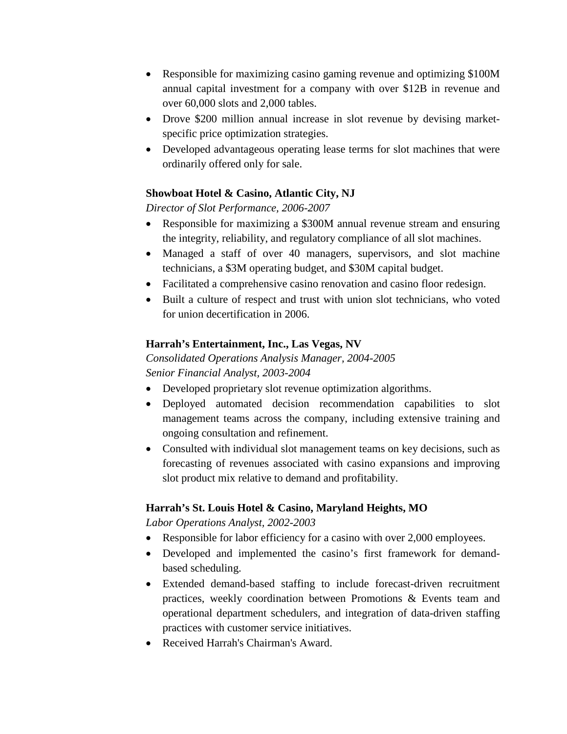- Responsible for maximizing casino gaming revenue and optimizing \$100M annual capital investment for a company with over \$12B in revenue and over 60,000 slots and 2,000 tables.
- Drove \$200 million annual increase in slot revenue by devising marketspecific price optimization strategies.
- Developed advantageous operating lease terms for slot machines that were ordinarily offered only for sale.

# **Showboat Hotel & Casino, Atlantic City, NJ**

*Director of Slot Performance, 2006-2007*

- Responsible for maximizing a \$300M annual revenue stream and ensuring the integrity, reliability, and regulatory compliance of all slot machines.
- Managed a staff of over 40 managers, supervisors, and slot machine technicians, a \$3M operating budget, and \$30M capital budget.
- Facilitated a comprehensive casino renovation and casino floor redesign.
- Built a culture of respect and trust with union slot technicians, who voted for union decertification in 2006.

# **Harrah's Entertainment, Inc., Las Vegas, NV**

*Consolidated Operations Analysis Manager, 2004-2005 Senior Financial Analyst, 2003-2004*

- Developed proprietary slot revenue optimization algorithms.
- Deployed automated decision recommendation capabilities to slot management teams across the company, including extensive training and ongoing consultation and refinement.
- Consulted with individual slot management teams on key decisions, such as forecasting of revenues associated with casino expansions and improving slot product mix relative to demand and profitability.

# **Harrah's St. Louis Hotel & Casino, Maryland Heights, MO**

*Labor Operations Analyst, 2002-2003*

- Responsible for labor efficiency for a casino with over 2,000 employees.
- Developed and implemented the casino's first framework for demandbased scheduling.
- Extended demand-based staffing to include forecast-driven recruitment practices, weekly coordination between Promotions & Events team and operational department schedulers, and integration of data-driven staffing practices with customer service initiatives.
- Received Harrah's Chairman's Award.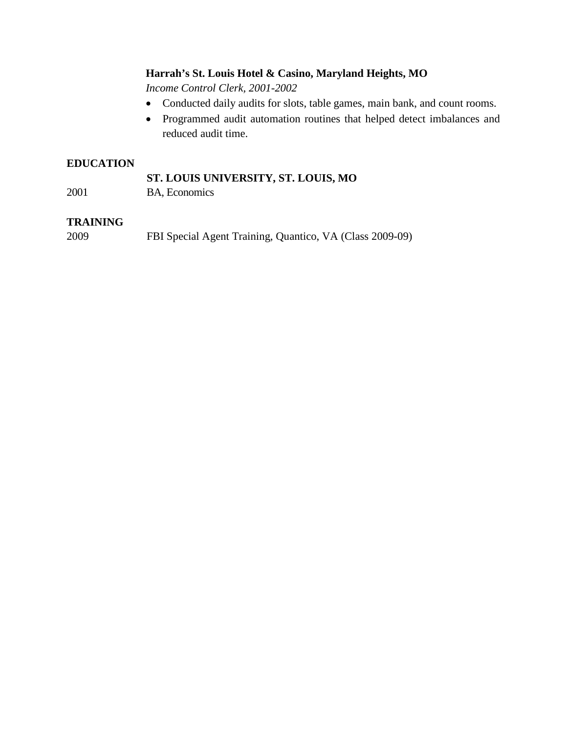# **Harrah's St. Louis Hotel & Casino, Maryland Heights, MO**

*Income Control Clerk, 2001-2002*

- Conducted daily audits for slots, table games, main bank, and count rooms.
- Programmed audit automation routines that helped detect imbalances and reduced audit time.

### **EDUCATION**

## **ST. LOUIS UNIVERSITY, ST. LOUIS, MO**

2001 BA, Economics

### **TRAINING**

2009 FBI Special Agent Training, Quantico, VA (Class 2009-09)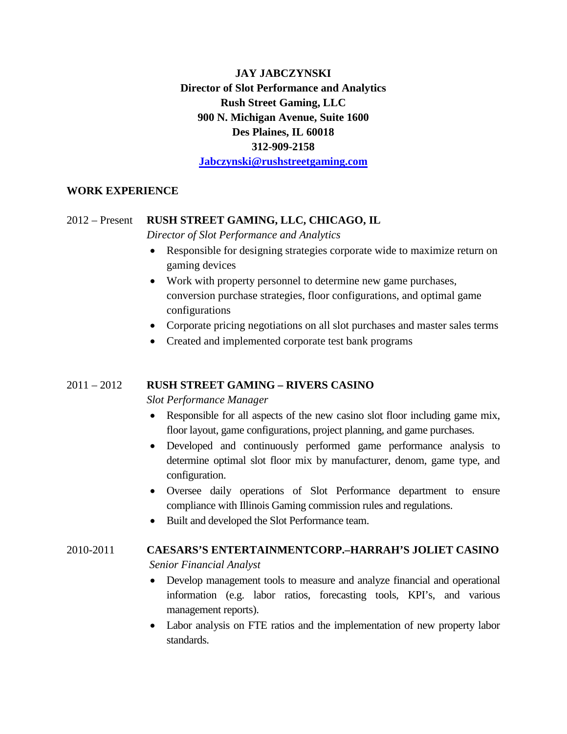**JAY JABCZYNSKI Director of Slot Performance and Analytics Rush Street Gaming, LLC 900 N. Michigan Avenue, Suite 1600 Des Plaines, IL 60018 312-909-2158 Jabczynski@rushstreetgaming.com**

### **WORK EXPERIENCE**

### 2012 – Present **RUSH STREET GAMING, LLC, CHICAGO, IL**

*Director of Slot Performance and Analytics*

- Responsible for designing strategies corporate wide to maximize return on gaming devices
- Work with property personnel to determine new game purchases, conversion purchase strategies, floor configurations, and optimal game configurations
- Corporate pricing negotiations on all slot purchases and master sales terms
- Created and implemented corporate test bank programs

### 2011 – 2012 **RUSH STREET GAMING – RIVERS CASINO**

*Slot Performance Manager*

- Responsible for all aspects of the new casino slot floor including game mix, floor layout, game configurations, project planning, and game purchases.
- Developed and continuously performed game performance analysis to determine optimal slot floor mix by manufacturer, denom, game type, and configuration.
- Oversee daily operations of Slot Performance department to ensure compliance with Illinois Gaming commission rules and regulations.
- Built and developed the Slot Performance team.

# 2010-2011 **CAESARS'S ENTERTAINMENTCORP.–HARRAH'S JOLIET CASINO**

*Senior Financial Analyst*

- Develop management tools to measure and analyze financial and operational information (e.g. labor ratios, forecasting tools, KPI's, and various management reports).
- Labor analysis on FTE ratios and the implementation of new property labor standards.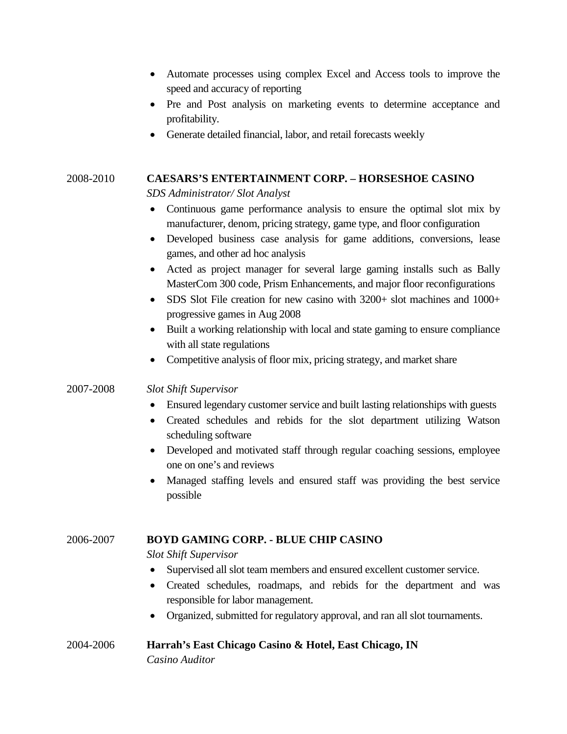- Automate processes using complex Excel and Access tools to improve the speed and accuracy of reporting
- Pre and Post analysis on marketing events to determine acceptance and profitability.
- Generate detailed financial, labor, and retail forecasts weekly

# 2008-2010 **CAESARS'S ENTERTAINMENT CORP. – HORSESHOE CASINO**

*SDS Administrator/ Slot Analyst*

- Continuous game performance analysis to ensure the optimal slot mix by manufacturer, denom, pricing strategy, game type, and floor configuration
- Developed business case analysis for game additions, conversions, lease games, and other ad hoc analysis
- Acted as project manager for several large gaming installs such as Bally MasterCom 300 code, Prism Enhancements, and major floor reconfigurations
- SDS Slot File creation for new casino with 3200+ slot machines and 1000+ progressive games in Aug 2008
- Built a working relationship with local and state gaming to ensure compliance with all state regulations
- Competitive analysis of floor mix, pricing strategy, and market share

# 2007-2008 *Slot Shift Supervisor*

- Ensured legendary customer service and built lasting relationships with guests
- Created schedules and rebids for the slot department utilizing Watson scheduling software
- Developed and motivated staff through regular coaching sessions, employee one on one's and reviews
- Managed staffing levels and ensured staff was providing the best service possible

# 2006-2007 **BOYD GAMING CORP. - BLUE CHIP CASINO**

*Slot Shift Supervisor*

- Supervised all slot team members and ensured excellent customer service.
- Created schedules, roadmaps, and rebids for the department and was responsible for labor management.
- Organized, submitted for regulatory approval, and ran all slot tournaments.

# 2004-2006 **Harrah's East Chicago Casino & Hotel, East Chicago, IN** *Casino Auditor*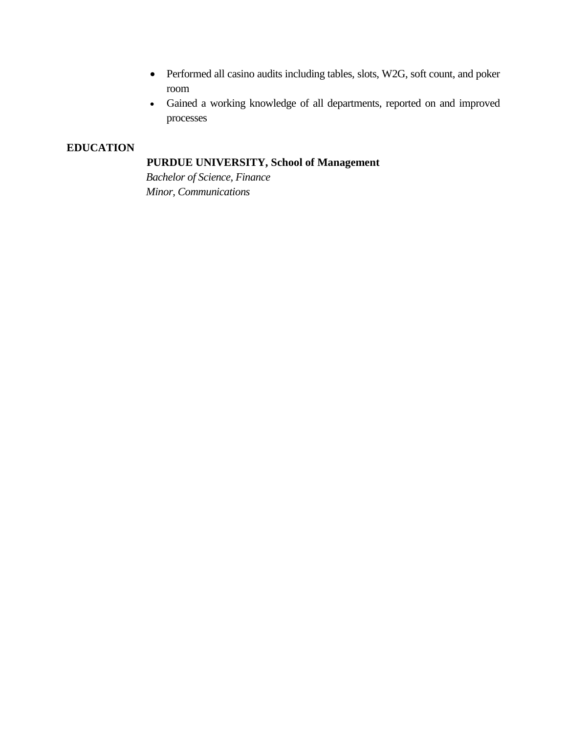- Performed all casino audits including tables, slots, W2G, soft count, and poker room
- Gained a working knowledge of all departments, reported on and improved processes

# **EDUCATION**

# **PURDUE UNIVERSITY, School of Management**

*Bachelor of Science, Finance Minor, Communications*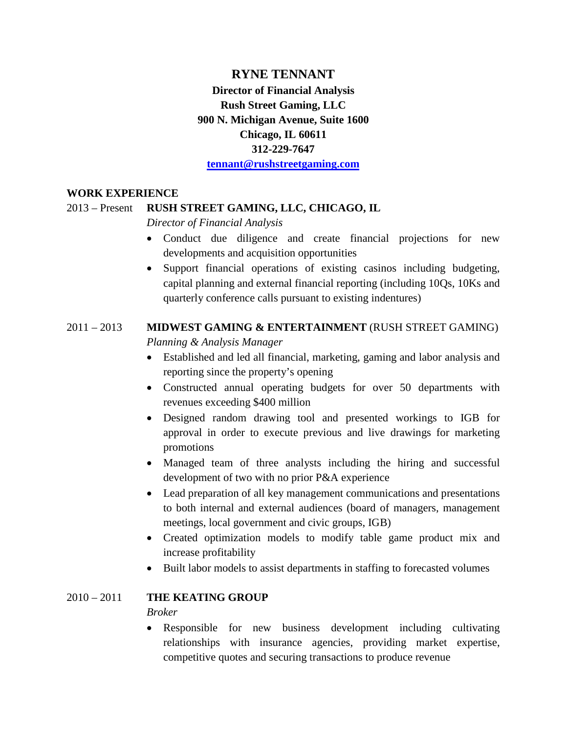# **RYNE TENNANT**

**Director of Financial Analysis Rush Street Gaming, LLC 900 N. Michigan Avenue, Suite 1600 Chicago, IL 60611 312-229-7647**

**tennant@rushstreetgaming.com**

#### **WORK EXPERIENCE**

#### 2013 – Present **RUSH STREET GAMING, LLC, CHICAGO, IL**

*Director of Financial Analysis*

- Conduct due diligence and create financial projections for new developments and acquisition opportunities
- Support financial operations of existing casinos including budgeting, capital planning and external financial reporting (including 10Qs, 10Ks and quarterly conference calls pursuant to existing indentures)

# 2011 – 2013 **MIDWEST GAMING & ENTERTAINMENT** (RUSH STREET GAMING) *Planning & Analysis Manager*

- Established and led all financial, marketing, gaming and labor analysis and reporting since the property's opening
- Constructed annual operating budgets for over 50 departments with revenues exceeding \$400 million
- Designed random drawing tool and presented workings to IGB for approval in order to execute previous and live drawings for marketing promotions
- Managed team of three analysts including the hiring and successful development of two with no prior P&A experience
- Lead preparation of all key management communications and presentations to both internal and external audiences (board of managers, management meetings, local government and civic groups, IGB)
- Created optimization models to modify table game product mix and increase profitability
- Built labor models to assist departments in staffing to forecasted volumes

### 2010 – 2011 **THE KEATING GROUP**

# *Broker*

• Responsible for new business development including cultivating relationships with insurance agencies, providing market expertise, competitive quotes and securing transactions to produce revenue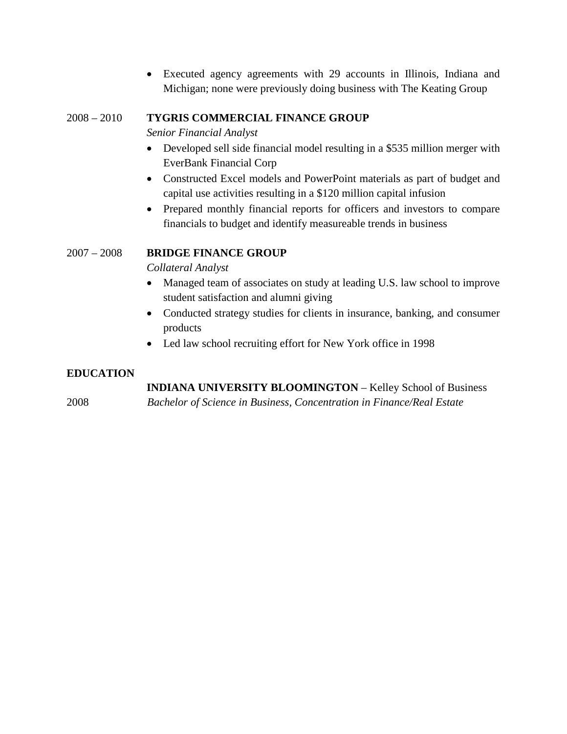Executed agency agreements with 29 accounts in Illinois, Indiana and Michigan; none were previously doing business with The Keating Group

## 2008 – 2010 **TYGRIS COMMERCIAL FINANCE GROUP**

*Senior Financial Analyst*

- Developed sell side financial model resulting in a \$535 million merger with EverBank Financial Corp
- Constructed Excel models and PowerPoint materials as part of budget and capital use activities resulting in a \$120 million capital infusion
- Prepared monthly financial reports for officers and investors to compare financials to budget and identify measureable trends in business

# 2007 – 2008 **BRIDGE FINANCE GROUP**

*Collateral Analyst*

- Managed team of associates on study at leading U.S. law school to improve student satisfaction and alumni giving
- Conducted strategy studies for clients in insurance, banking, and consumer products
- Led law school recruiting effort for New York office in 1998

# **EDUCATION**

**INDIANA UNIVERSITY BLOOMINGTON** – Kelley School of Business 2008 *Bachelor of Science in Business, Concentration in Finance/Real Estate*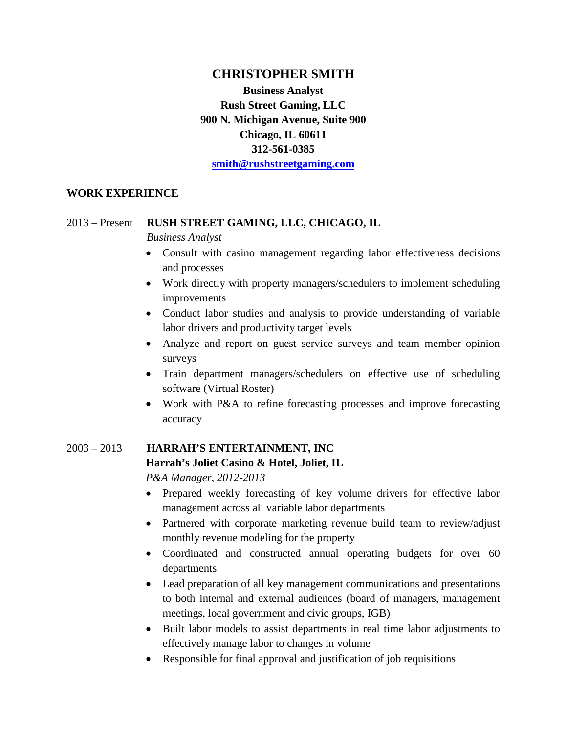# **CHRISTOPHER SMITH**

**Business Analyst Rush Street Gaming, LLC 900 N. Michigan Avenue, Suite 900 Chicago, IL 60611 312-561-0385 smith@rushstreetgaming.com**

### **WORK EXPERIENCE**

#### 2013 – Present **RUSH STREET GAMING, LLC, CHICAGO, IL**

*Business Analyst*

- Consult with casino management regarding labor effectiveness decisions and processes
- Work directly with property managers/schedulers to implement scheduling improvements
- Conduct labor studies and analysis to provide understanding of variable labor drivers and productivity target levels
- Analyze and report on guest service surveys and team member opinion surveys
- Train department managers/schedulers on effective use of scheduling software (Virtual Roster)
- Work with P&A to refine forecasting processes and improve forecasting accuracy

### 2003 – 2013 **HARRAH'S ENTERTAINMENT, INC Harrah's Joliet Casino & Hotel, Joliet, IL**

*P&A Manager, 2012-2013*

- Prepared weekly forecasting of key volume drivers for effective labor management across all variable labor departments
- Partnered with corporate marketing revenue build team to review/adjust monthly revenue modeling for the property
- Coordinated and constructed annual operating budgets for over 60 departments
- Lead preparation of all key management communications and presentations to both internal and external audiences (board of managers, management meetings, local government and civic groups, IGB)
- Built labor models to assist departments in real time labor adjustments to effectively manage labor to changes in volume
- Responsible for final approval and justification of job requisitions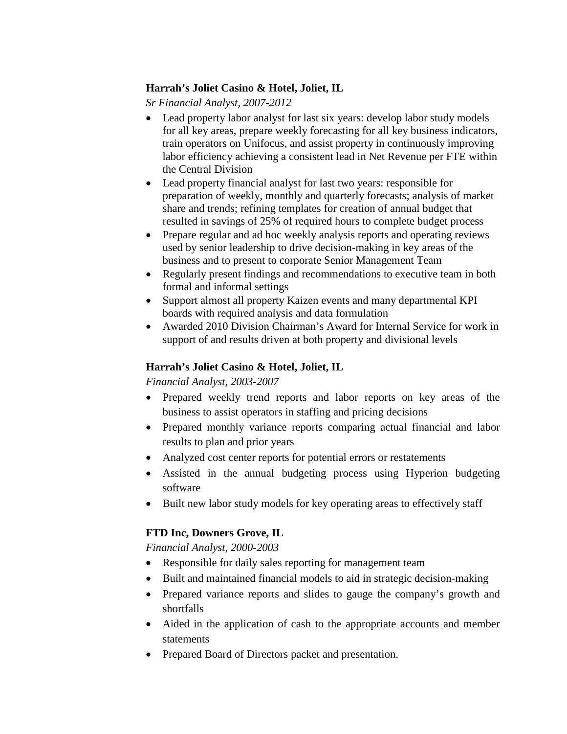# **Harrah's Joliet Casino & Hotel, Joliet, IL**

*Sr Financial Analyst, 2007-2012*

- Lead property labor analyst for last six years: develop labor study models for all key areas, prepare weekly forecasting for all key business indicators, train operators on Unifocus, and assist property in continuously improving labor efficiency achieving a consistent lead in Net Revenue per FTE within the Central Division
- Lead property financial analyst for last two years: responsible for preparation of weekly, monthly and quarterly forecasts; analysis of market share and trends; refining templates for creation of annual budget that resulted in savings of 25% of required hours to complete budget process
- Prepare regular and ad hoc weekly analysis reports and operating reviews used by senior leadership to drive decision-making in key areas of the business and to present to corporate Senior Management Team
- Regularly present findings and recommendations to executive team in both formal and informal settings
- Support almost all property Kaizen events and many departmental KPI boards with required analysis and data formulation
- Awarded 2010 Division Chairman's Award for Internal Service for work in support of and results driven at both property and divisional levels

# **Harrah's Joliet Casino & Hotel, Joliet, IL**

*Financial Analyst, 2003-2007*

- Prepared weekly trend reports and labor reports on key areas of the business to assist operators in staffing and pricing decisions
- Prepared monthly variance reports comparing actual financial and labor results to plan and prior years
- Analyzed cost center reports for potential errors or restatements
- Assisted in the annual budgeting process using Hyperion budgeting software
- Built new labor study models for key operating areas to effectively staff

# **FTD Inc, Downers Grove, IL**

*Financial Analyst, 2000-2003*

- Responsible for daily sales reporting for management team
- Built and maintained financial models to aid in strategic decision-making
- Prepared variance reports and slides to gauge the company's growth and shortfalls
- Aided in the application of cash to the appropriate accounts and member statements
- Prepared Board of Directors packet and presentation.